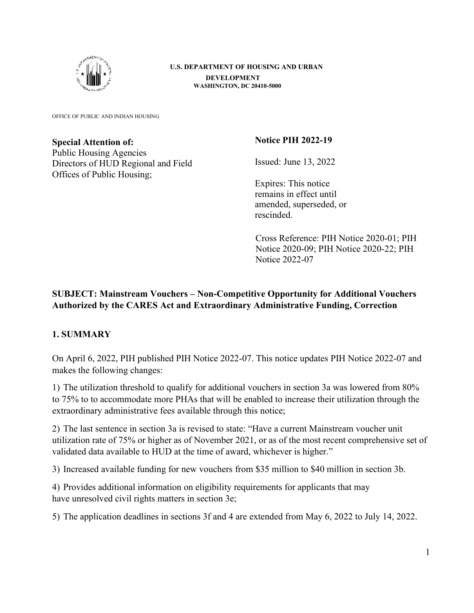

**U.S. DEPARTMENT OF HOUSING AND URBAN DEVELOPMENT WASHINGTON, DC 20410-5000** 

OFFICE OF PUBLIC AND INDIAN HOUSING

#### **Special Attention of:**

Public Housing Agencies Directors of HUD Regional and Field Offices of Public Housing;

### **Notice PIH 2022-19**

Issued: June 13, 2022

Expires: This notice remains in effect until amended, superseded, or rescinded.

Cross Reference: PIH Notice 2020-01; PIH Notice 2020-09; PIH Notice 2020-22; PIH Notice 2022-07

# **SUBJECT: Mainstream Vouchers – Non-Competitive Opportunity for Additional Vouchers Authorized by the CARES Act and Extraordinary Administrative Funding, Correction**

### **1. SUMMARY**

On April 6, 2022, PIH published PIH Notice 2022-07. This notice updates PIH Notice 2022-07 and makes the following changes:

1) The utilization threshold to qualify for additional vouchers in section 3a was lowered from 80% to 75% to to accommodate more PHAs that will be enabled to increase their utilization through the extraordinary administrative fees available through this notice;

2) The last sentence in section 3a is revised to state: "Have a current Mainstream voucher unit utilization rate of 75% or higher as of November 2021, or as of the most recent comprehensive set of validated data available to HUD at the time of award, whichever is higher."

3) Increased available funding for new vouchers from \$35 million to \$40 million in section 3b.

4) Provides additional information on eligibility requirements for applicants that may have unresolved civil rights matters in section 3e;

5) The application deadlines in sections 3f and 4 are extended from May 6, 2022 to July 14, 2022.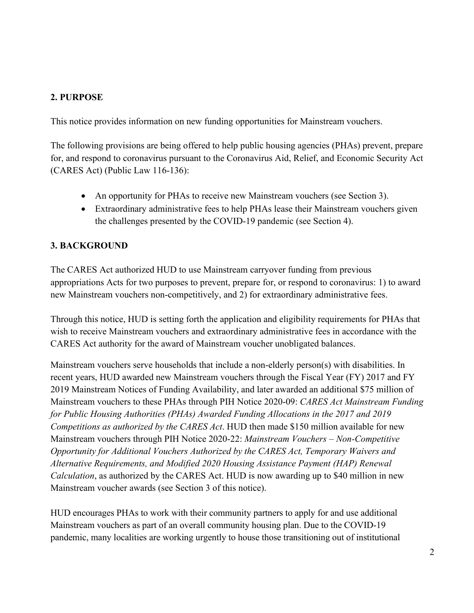### **2. PURPOSE**

This notice provides information on new funding opportunities for Mainstream vouchers.

The following provisions are being offered to help public housing agencies (PHAs) prevent, prepare for, and respond to coronavirus pursuant to the Coronavirus Aid, Relief, and Economic Security Act (CARES Act) (Public Law 116-136):

- An opportunity for PHAs to receive new Mainstream vouchers (see Section 3).
- Extraordinary administrative fees to help PHAs lease their Mainstream vouchers given the challenges presented by the COVID-19 pandemic (see Section 4).

### **3. BACKGROUND**

The CARES Act authorized HUD to use Mainstream carryover funding from previous appropriations Acts for two purposes to prevent, prepare for, or respond to coronavirus: 1) to award new Mainstream vouchers non-competitively, and 2) for extraordinary administrative fees.

Through this notice, HUD is setting forth the application and eligibility requirements for PHAs that wish to receive Mainstream vouchers and extraordinary administrative fees in accordance with the CARES Act authority for the award of Mainstream voucher unobligated balances.

Mainstream vouchers serve households that include a non-elderly person(s) with disabilities. In recent years, HUD awarded new Mainstream vouchers through the Fiscal Year (FY) 2017 and FY 2019 Mainstream Notices of Funding Availability, and later awarded an additional \$75 million of Mainstream vouchers to these PHAs through PIH Notice 2020-09: *CARES Act Mainstream Funding for Public Housing Authorities (PHAs) Awarded Funding Allocations in the 2017 and 2019 Competitions as authorized by the CARES Act*. HUD then made \$150 million available for new Mainstream vouchers through PIH Notice 2020-22: *Mainstream Vouchers – Non-Competitive Opportunity for Additional Vouchers Authorized by the CARES Act, Temporary Waivers and Alternative Requirements, and Modified 2020 Housing Assistance Payment (HAP) Renewal Calculation*, as authorized by the CARES Act. HUD is now awarding up to \$40 million in new Mainstream voucher awards (see Section 3 of this notice).

HUD encourages PHAs to work with their community partners to apply for and use additional Mainstream vouchers as part of an overall community housing plan. Due to the COVID-19 pandemic, many localities are working urgently to house those transitioning out of institutional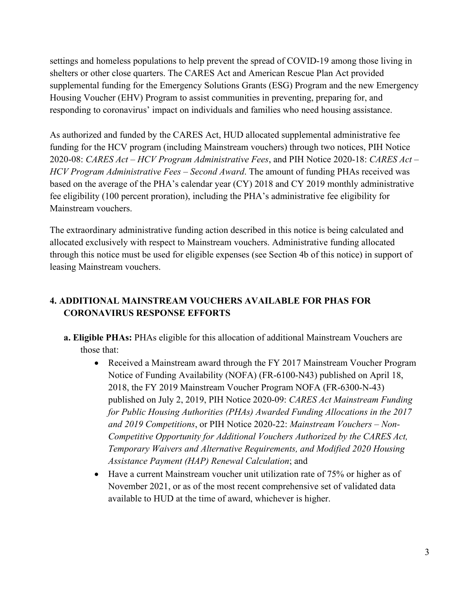settings and homeless populations to help prevent the spread of COVID-19 among those living in shelters or other close quarters. The CARES Act and American Rescue Plan Act provided supplemental funding for the Emergency Solutions Grants (ESG) Program and the new Emergency Housing Voucher (EHV) Program to assist communities in preventing, preparing for, and responding to coronavirus' impact on individuals and families who need housing assistance.

As authorized and funded by the CARES Act, HUD allocated supplemental administrative fee funding for the HCV program (including Mainstream vouchers) through two notices, PIH Notice 2020-08: *CARES Act – HCV Program Administrative Fees*, and PIH Notice 2020-18: *CARES Act – HCV Program Administrative Fees – Second Award*. The amount of funding PHAs received was based on the average of the PHA's calendar year (CY) 2018 and CY 2019 monthly administrative fee eligibility (100 percent proration), including the PHA's administrative fee eligibility for Mainstream vouchers.

The extraordinary administrative funding action described in this notice is being calculated and allocated exclusively with respect to Mainstream vouchers. Administrative funding allocated through this notice must be used for eligible expenses (see Section 4b of this notice) in support of leasing Mainstream vouchers.

# **4. ADDITIONAL MAINSTREAM VOUCHERS AVAILABLE FOR PHAS FOR CORONAVIRUS RESPONSE EFFORTS**

- **a. Eligible PHAs:** PHAs eligible for this allocation of additional Mainstream Vouchers are those that:
	- Received a Mainstream award through the FY 2017 Mainstream Voucher Program Notice of Funding Availability (NOFA) (FR-6100-N43) published on April 18, 2018, the FY 2019 Mainstream Voucher Program NOFA (FR-6300-N-43) published on July 2, 2019, PIH Notice 2020-09: *CARES Act Mainstream Funding for Public Housing Authorities (PHAs) Awarded Funding Allocations in the 2017 and 2019 Competitions*, or PIH Notice 2020-22: *Mainstream Vouchers – Non-Competitive Opportunity for Additional Vouchers Authorized by the CARES Act, Temporary Waivers and Alternative Requirements, and Modified 2020 Housing Assistance Payment (HAP) Renewal Calculation*; and
	- Have a current Mainstream voucher unit utilization rate of 75% or higher as of November 2021, or as of the most recent comprehensive set of validated data available to HUD at the time of award, whichever is higher.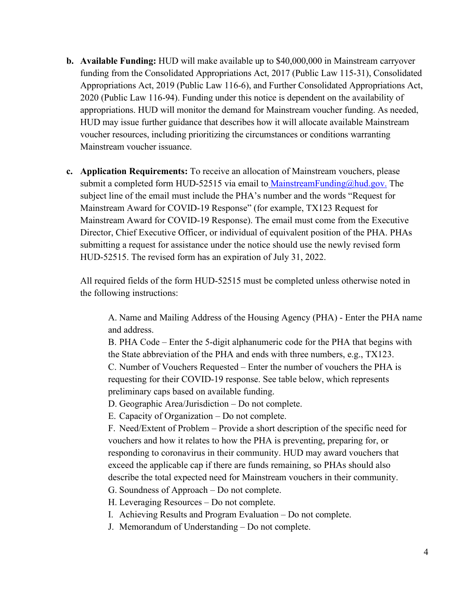- **b. Available Funding:** HUD will make available up to \$40,000,000 in Mainstream carryover funding from the Consolidated Appropriations Act, 2017 (Public Law 115-31), Consolidated Appropriations Act, 2019 (Public Law 116-6), and Further Consolidated Appropriations Act, 2020 (Public Law 116-94). Funding under this notice is dependent on the availability of appropriations. HUD will monitor the demand for Mainstream voucher funding. As needed, HUD may issue further guidance that describes how it will allocate available Mainstream voucher resources, including prioritizing the circumstances or conditions warranting Mainstream voucher issuance.
- **c. Application Requirements:** To receive an allocation of Mainstream vouchers, please submit a completed form HUD-52515 via email t[o MainstreamFunding@hud.gov.](mailto:MainstreamFunding@hud.gov) The subject line of the email must include the PHA's number and the words "Request for Mainstream Award for COVID-19 Response" (for example, TX123 Request for Mainstream Award for COVID-19 Response). The email must come from the Executive Director, Chief Executive Officer, or individual of equivalent position of the PHA. PHAs submitting a request for assistance under the notice should use the newly revised form HUD-52515. The revised form has an expiration of July 31, 2022.

All required fields of the form HUD-52515 must be completed unless otherwise noted in the following instructions:

A. Name and Mailing Address of the Housing Agency (PHA) - Enter the PHA name and address.

B. PHA Code – Enter the 5-digit alphanumeric code for the PHA that begins with the State abbreviation of the PHA and ends with three numbers, e.g., TX123. C. Number of Vouchers Requested – Enter the number of vouchers the PHA is requesting for their COVID-19 response. See table below, which represents preliminary caps based on available funding.

D. Geographic Area/Jurisdiction – Do not complete.

E. Capacity of Organization – Do not complete.

F. Need/Extent of Problem – Provide a short description of the specific need for vouchers and how it relates to how the PHA is preventing, preparing for, or responding to coronavirus in their community. HUD may award vouchers that exceed the applicable cap if there are funds remaining, so PHAs should also describe the total expected need for Mainstream vouchers in their community.

G. Soundness of Approach – Do not complete.

H. Leveraging Resources – Do not complete.

I. Achieving Results and Program Evaluation – Do not complete.

J. Memorandum of Understanding – Do not complete.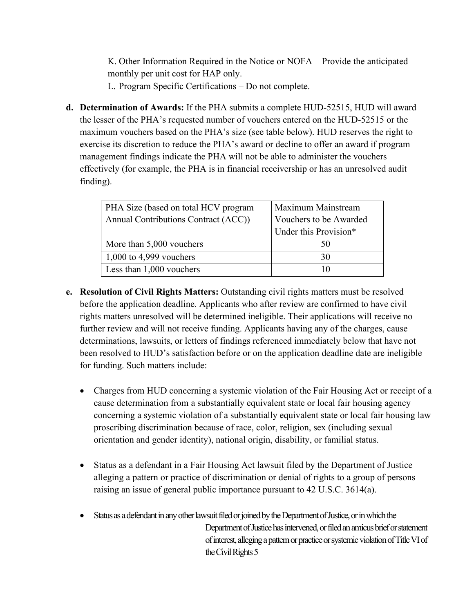K. Other Information Required in the Notice or NOFA – Provide the anticipated monthly per unit cost for HAP only.

L. Program Specific Certifications – Do not complete.

**d. Determination of Awards:** If the PHA submits a complete HUD-52515, HUD will award the lesser of the PHA's requested number of vouchers entered on the HUD-52515 or the maximum vouchers based on the PHA's size (see table below). HUD reserves the right to exercise its discretion to reduce the PHA's award or decline to offer an award if program management findings indicate the PHA will not be able to administer the vouchers effectively (for example, the PHA is in financial receivership or has an unresolved audit finding).

| PHA Size (based on total HCV program<br>Annual Contributions Contract (ACC)) | Maximum Mainstream<br>Vouchers to be Awarded<br>Under this Provision* |
|------------------------------------------------------------------------------|-----------------------------------------------------------------------|
| More than 5,000 vouchers                                                     | 50                                                                    |
| $1,000$ to 4,999 vouchers                                                    | 30                                                                    |
| Less than 1,000 vouchers                                                     | 10                                                                    |

- **e. Resolution of Civil Rights Matters:** Outstanding civil rights matters must be resolved before the application deadline. Applicants who after review are confirmed to have civil rights matters unresolved will be determined ineligible. Their applications will receive no further review and will not receive funding. Applicants having any of the charges, cause determinations, lawsuits, or letters of findings referenced immediately below that have not been resolved to HUD's satisfaction before or on the application deadline date are ineligible for funding. Such matters include:
	- Charges from HUD concerning a systemic violation of the Fair Housing Act or receipt of a cause determination from a substantially equivalent state or local fair housing agency concerning a systemic violation of a substantially equivalent state or local fair housing law proscribing discrimination because of race, color, religion, sex (including sexual orientation and gender identity), national origin, disability, or familial status.
	- Status as a defendant in a Fair Housing Act lawsuit filed by the Department of Justice alleging a pattern or practice of discrimination or denial of rights to a group of persons raising an issue of general public importance pursuant to 42 U.S.C. 3614(a).
	- Status as a defendant in any other lawsuit filed or joined by the Department of Justice, or in which the Department of Justice has intervened, or filed an amicus brief or statement of interest, alleging a pattern or practice or systemic violation of Title VI of the Civil Rights 5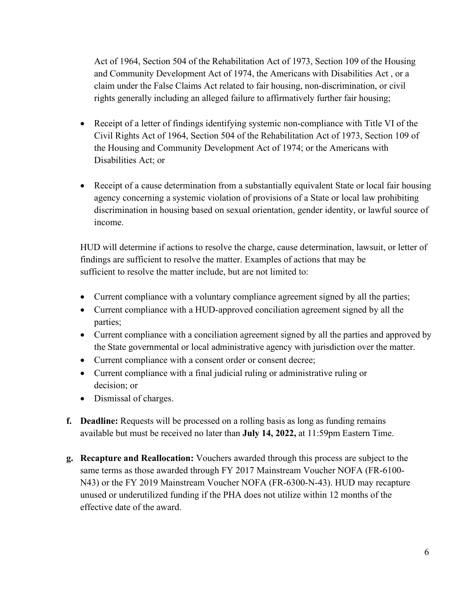Act of 1964, Section 504 of the Rehabilitation Act of 1973, Section 109 of the Housing and Community Development Act of 1974, the Americans with Disabilities Act , or a claim under the False Claims Act related to fair housing, non-discrimination, or civil rights generally including an alleged failure to affirmatively further fair housing;

- Receipt of a letter of findings identifying systemic non-compliance with Title VI of the Civil Rights Act of 1964, Section 504 of the Rehabilitation Act of 1973, Section 109 of the Housing and Community Development Act of 1974; or the Americans with Disabilities Act; or
- Receipt of a cause determination from a substantially equivalent State or local fair housing agency concerning a systemic violation of provisions of a State or local law prohibiting discrimination in housing based on sexual orientation, gender identity, or lawful source of income.

HUD will determine if actions to resolve the charge, cause determination, lawsuit, or letter of findings are sufficient to resolve the matter. Examples of actions that may be sufficient to resolve the matter include, but are not limited to:

- Current compliance with a voluntary compliance agreement signed by all the parties;
- Current compliance with a HUD-approved conciliation agreement signed by all the parties;
- Current compliance with a conciliation agreement signed by all the parties and approved by the State governmental or local administrative agency with jurisdiction over the matter.
- Current compliance with a consent order or consent decree;
- Current compliance with a final judicial ruling or administrative ruling or decision; or
- Dismissal of charges.
- **f. Deadline:** Requests will be processed on a rolling basis as long as funding remains available but must be received no later than **July 14, 2022,** at 11:59pm Eastern Time.
- **g. Recapture and Reallocation:** Vouchers awarded through this process are subject to the same terms as those awarded through FY 2017 Mainstream Voucher NOFA (FR-6100- N43) or the FY 2019 Mainstream Voucher NOFA (FR-6300-N-43). HUD may recapture unused or underutilized funding if the PHA does not utilize within 12 months of the effective date of the award.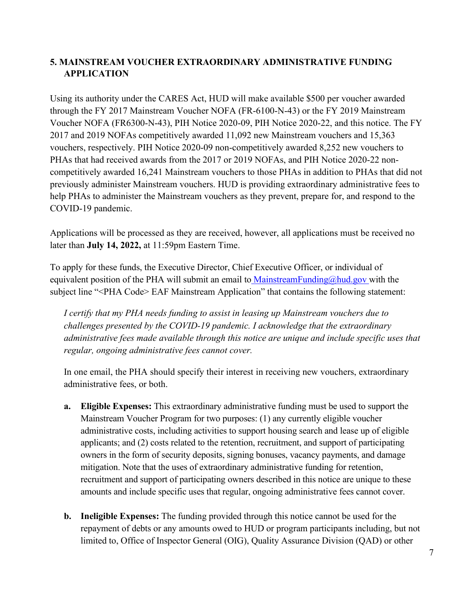# **5. MAINSTREAM VOUCHER EXTRAORDINARY ADMINISTRATIVE FUNDING APPLICATION**

Using its authority under the CARES Act, HUD will make available \$500 per voucher awarded through the FY 2017 Mainstream Voucher NOFA (FR-6100-N-43) or the FY 2019 Mainstream Voucher NOFA (FR6300-N-43), PIH Notice 2020-09, PIH Notice 2020-22, and this notice. The FY 2017 and 2019 NOFAs competitively awarded 11,092 new Mainstream vouchers and 15,363 vouchers, respectively. PIH Notice 2020-09 non-competitively awarded 8,252 new vouchers to PHAs that had received awards from the 2017 or 2019 NOFAs, and PIH Notice 2020-22 noncompetitively awarded 16,241 Mainstream vouchers to those PHAs in addition to PHAs that did not previously administer Mainstream vouchers. HUD is providing extraordinary administrative fees to help PHAs to administer the Mainstream vouchers as they prevent, prepare for, and respond to the COVID-19 pandemic.

Applications will be processed as they are received, however, all applications must be received no later than **July 14, 2022,** at 11:59pm Eastern Time.

To apply for these funds, the Executive Director, Chief Executive Officer, or individual of equivalent position of the PHA will submit an email t[o MainstreamFunding@hud.gov](mailto:MainstreamFunding@hud.gov) [w](mailto:MainstreamFunding@hud.gov)ith the subject line "<PHA Code> EAF Mainstream Application" that contains the following statement:

*I certify that my PHA needs funding to assist in leasing up Mainstream vouchers due to challenges presented by the COVID-19 pandemic. I acknowledge that the extraordinary administrative fees made available through this notice are unique and include specific uses that regular, ongoing administrative fees cannot cover.* 

In one email, the PHA should specify their interest in receiving new vouchers, extraordinary administrative fees, or both.

- **a. Eligible Expenses:** This extraordinary administrative funding must be used to support the Mainstream Voucher Program for two purposes: (1) any currently eligible voucher administrative costs, including activities to support housing search and lease up of eligible applicants; and (2) costs related to the retention, recruitment, and support of participating owners in the form of security deposits, signing bonuses, vacancy payments, and damage mitigation. Note that the uses of extraordinary administrative funding for retention, recruitment and support of participating owners described in this notice are unique to these amounts and include specific uses that regular, ongoing administrative fees cannot cover.
- **b. Ineligible Expenses:** The funding provided through this notice cannot be used for the repayment of debts or any amounts owed to HUD or program participants including, but not limited to, Office of Inspector General (OIG), Quality Assurance Division (QAD) or other